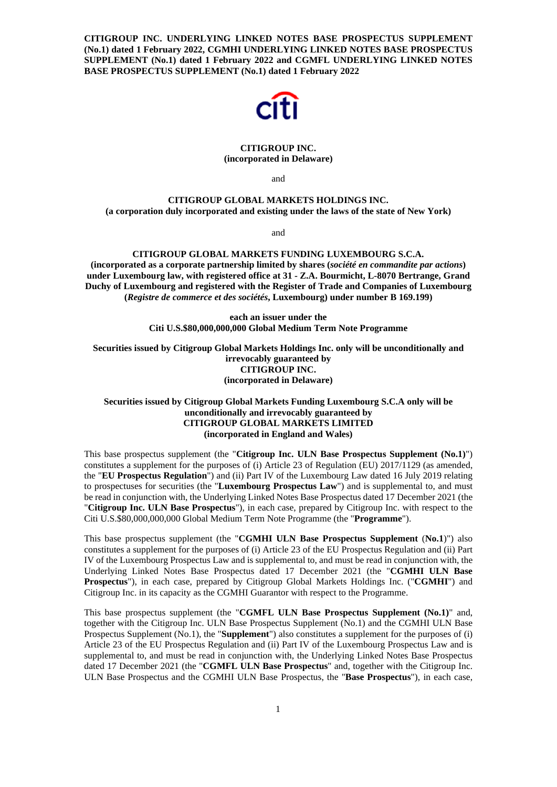**CITIGROUP INC. UNDERLYING LINKED NOTES BASE PROSPECTUS SUPPLEMENT (No.1) dated 1 February 2022, CGMHI UNDERLYING LINKED NOTES BASE PROSPECTUS SUPPLEMENT (No.1) dated 1 February 2022 and CGMFL UNDERLYING LINKED NOTES BASE PROSPECTUS SUPPLEMENT (No.1) dated 1 February 2022** 



# **CITIGROUP INC. (incorporated in Delaware)**

and

# **CITIGROUP GLOBAL MARKETS HOLDINGS INC. (a corporation duly incorporated and existing under the laws of the state of New York)**

and

# **CITIGROUP GLOBAL MARKETS FUNDING LUXEMBOURG S.C.A.**

**(incorporated as a corporate partnership limited by shares (***société en commandite par actions***) under Luxembourg law, with registered office at 31 - Z.A. Bourmicht, L-8070 Bertrange, Grand Duchy of Luxembourg and registered with the Register of Trade and Companies of Luxembourg (***Registre de commerce et des sociétés***, Luxembourg) under number B 169.199)** 

> **each an issuer under the Citi U.S.\$80,000,000,000 Global Medium Term Note Programme**

**Securities issued by Citigroup Global Markets Holdings Inc. only will be unconditionally and irrevocably guaranteed by CITIGROUP INC. (incorporated in Delaware)** 

# **Securities issued by Citigroup Global Markets Funding Luxembourg S.C.A only will be unconditionally and irrevocably guaranteed by CITIGROUP GLOBAL MARKETS LIMITED (incorporated in England and Wales)**

This base prospectus supplement (the "**Citigroup Inc. ULN Base Prospectus Supplement (No.1)**") constitutes a supplement for the purposes of (i) Article 23 of Regulation (EU) 2017/1129 (as amended, the "**EU Prospectus Regulation**") and (ii) Part IV of the Luxembourg Law dated 16 July 2019 relating to prospectuses for securities (the "**Luxembourg Prospectus Law**") and is supplemental to, and must be read in conjunction with, the Underlying Linked Notes Base Prospectus dated 17 December 2021 (the "**Citigroup Inc. ULN Base Prospectus**"), in each case, prepared by Citigroup Inc. with respect to the Citi U.S.\$80,000,000,000 Global Medium Term Note Programme (the "**Programme**").

This base prospectus supplement (the "**CGMHI ULN Base Prospectus Supplement** (**No.1**)") also constitutes a supplement for the purposes of (i) Article 23 of the EU Prospectus Regulation and (ii) Part IV of the Luxembourg Prospectus Law and is supplemental to, and must be read in conjunction with, the Underlying Linked Notes Base Prospectus dated 17 December 2021 (the "**CGMHI ULN Base Prospectus**"), in each case, prepared by Citigroup Global Markets Holdings Inc. ("**CGMHI**") and Citigroup Inc. in its capacity as the CGMHI Guarantor with respect to the Programme.

This base prospectus supplement (the "**CGMFL ULN Base Prospectus Supplement (No.1)**" and, together with the Citigroup Inc. ULN Base Prospectus Supplement (No.1) and the CGMHI ULN Base Prospectus Supplement (No.1), the "**Supplement**") also constitutes a supplement for the purposes of (i) Article 23 of the EU Prospectus Regulation and (ii) Part IV of the Luxembourg Prospectus Law and is supplemental to, and must be read in conjunction with, the Underlying Linked Notes Base Prospectus dated 17 December 2021 (the "**CGMFL ULN Base Prospectus**" and, together with the Citigroup Inc. ULN Base Prospectus and the CGMHI ULN Base Prospectus, the "**Base Prospectus**"), in each case,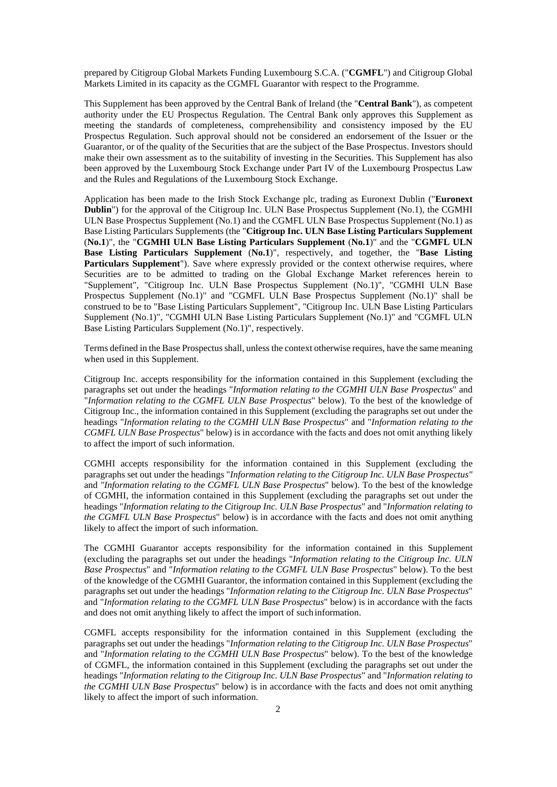prepared by Citigroup Global Markets Funding Luxembourg S.C.A. ("**CGMFL**") and Citigroup Global Markets Limited in its capacity as the CGMFL Guarantor with respect to the Programme.

This Supplement has been approved by the Central Bank of Ireland (the "**Central Bank**"), as competent authority under the EU Prospectus Regulation. The Central Bank only approves this Supplement as meeting the standards of completeness, comprehensibility and consistency imposed by the EU Prospectus Regulation. Such approval should not be considered an endorsement of the Issuer or the Guarantor, or of the quality of the Securities that are the subject of the Base Prospectus. Investors should make their own assessment as to the suitability of investing in the Securities. This Supplement has also been approved by the Luxembourg Stock Exchange under Part IV of the Luxembourg Prospectus Law and the Rules and Regulations of the Luxembourg Stock Exchange.

Application has been made to the Irish Stock Exchange plc, trading as Euronext Dublin ("**Euronext Dublin**") for the approval of the Citigroup Inc. ULN Base Prospectus Supplement (No.1), the CGMHI ULN Base Prospectus Supplement (No.1) and the CGMFL ULN Base Prospectus Supplement (No.1) as Base Listing Particulars Supplements (the "**Citigroup Inc. ULN Base Listing Particulars Supplement**  (**No.1**)", the "**CGMHI ULN Base Listing Particulars Supplement** (**No.1**)" and the "**CGMFL ULN Base Listing Particulars Supplement** (**No.1**)", respectively, and together, the "**Base Listing**  Particulars Supplement"). Save where expressly provided or the context otherwise requires, where Securities are to be admitted to trading on the Global Exchange Market references herein to "Supplement", "Citigroup Inc. ULN Base Prospectus Supplement (No.1)", "CGMHI ULN Base Prospectus Supplement (No.1)" and "CGMFL ULN Base Prospectus Supplement (No.1)" shall be construed to be to "Base Listing Particulars Supplement", "Citigroup Inc. ULN Base Listing Particulars Supplement (No.1)", "CGMHI ULN Base Listing Particulars Supplement (No.1)" and "CGMFL ULN Base Listing Particulars Supplement (No.1)", respectively.

Terms defined in the Base Prospectus shall, unless the context otherwise requires, have the same meaning when used in this Supplement.

Citigroup Inc. accepts responsibility for the information contained in this Supplement (excluding the paragraphs set out under the headings "*Information relating to the CGMHI ULN Base Prospectus*" and "*Information relating to the CGMFL ULN Base Prospectus*" below). To the best of the knowledge of Citigroup Inc., the information contained in this Supplement (excluding the paragraphs set out under the headings "*Information relating to the CGMHI ULN Base Prospectus*" and "*Information relating to the CGMFL ULN Base Prospectus*" below) is in accordance with the facts and does not omit anything likely to affect the import of such information.

CGMHI accepts responsibility for the information contained in this Supplement (excluding the paragraphs set out under the headings "*Information relating to the Citigroup Inc. ULN Base Prospectus"*  and *"Information relating to the CGMFL ULN Base Prospectus*" below). To the best of the knowledge of CGMHI, the information contained in this Supplement (excluding the paragraphs set out under the headings "*Information relating to the Citigroup Inc. ULN Base Prospectus*" and "*Information relating to the CGMFL ULN Base Prospectus*" below) is in accordance with the facts and does not omit anything likely to affect the import of such information.

The CGMHI Guarantor accepts responsibility for the information contained in this Supplement (excluding the paragraphs set out under the headings "*Information relating to the Citigroup Inc. ULN Base Prospectus*" and "*Information relating to the CGMFL ULN Base Prospectus*" below). To the best of the knowledge of the CGMHI Guarantor, the information contained in this Supplement (excluding the paragraphs set out under the headings "*Information relating to the Citigroup Inc. ULN Base Prospectus*" and "*Information relating to the CGMFL ULN Base Prospectus*" below) is in accordance with the facts and does not omit anything likely to affect the import of such information.

CGMFL accepts responsibility for the information contained in this Supplement (excluding the paragraphs set out under the headings "*Information relating to the Citigroup Inc. ULN Base Prospectus*" and "*Information relating to the CGMHI ULN Base Prospectus*" below). To the best of the knowledge of CGMFL, the information contained in this Supplement (excluding the paragraphs set out under the headings "*Information relating to the Citigroup Inc. ULN Base Prospectus*" and "*Information relating to the CGMHI ULN Base Prospectus*" below) is in accordance with the facts and does not omit anything likely to affect the import of such information.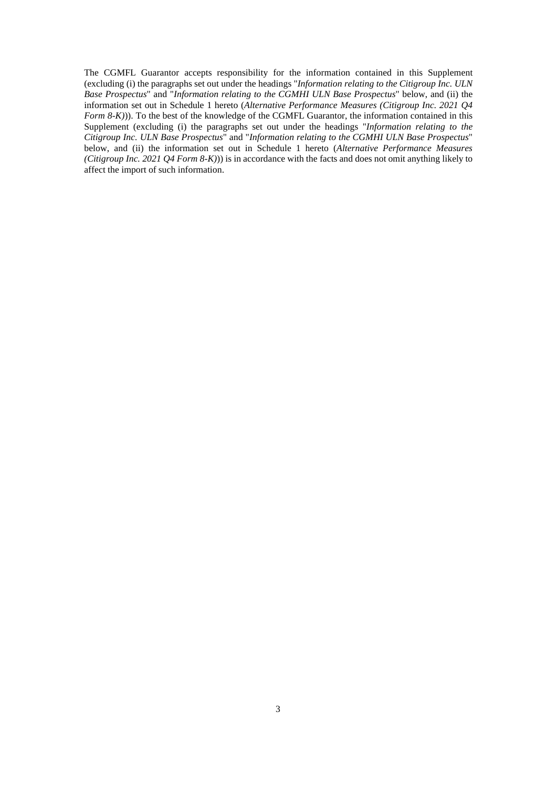The CGMFL Guarantor accepts responsibility for the information contained in this Supplement (excluding (i) the paragraphs set out under the headings "*Information relating to the Citigroup Inc. ULN Base Prospectus*" and "*Information relating to the CGMHI ULN Base Prospectus*" below, and (ii) the information set out in Schedule 1 hereto (*Alternative Performance Measures (Citigroup Inc. 2021 Q4 Form 8-K)*)). To the best of the knowledge of the CGMFL Guarantor, the information contained in this Supplement (excluding (i) the paragraphs set out under the headings "*Information relating to the Citigroup Inc. ULN Base Prospectus*" and "*Information relating to the CGMHI ULN Base Prospectus*" below, and (ii) the information set out in Schedule 1 hereto (*Alternative Performance Measures (Citigroup Inc. 2021 Q4 Form 8-K)*)) is in accordance with the facts and does not omit anything likely to affect the import of such information.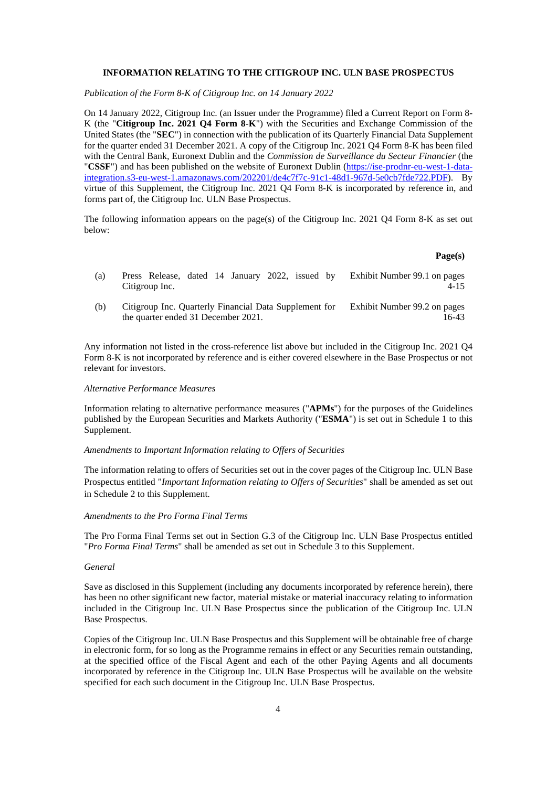## **INFORMATION RELATING TO THE CITIGROUP INC. ULN BASE PROSPECTUS**

*Publication of the Form 8-K of Citigroup Inc. on 14 January 2022* 

On 14 January 2022, Citigroup Inc. (an Issuer under the Programme) filed a Current Report on Form 8- K (the "**Citigroup Inc. 2021 Q4 Form 8-K**") with the Securities and Exchange Commission of the United States (the "**SEC**") in connection with the publication of its Quarterly Financial Data Supplement for the quarter ended 31 December 2021. A copy of the Citigroup Inc. 2021 Q4 Form 8-K has been filed with the Central Bank, Euronext Dublin and the *Commission de Surveillance du Secteur Financier* (the "**CSSF**") and has been published on the website of Euronext Dublin (https://ise-prodnr-eu-west-1-dataintegration.s3-eu-west-1.amazonaws.com/202201/de4c7f7c-91c1-48d1-967d-5e0cb7fde722.PDF). By virtue of this Supplement, the Citigroup Inc. 2021 Q4 Form 8-K is incorporated by reference in, and forms part of, the Citigroup Inc. ULN Base Prospectus.

The following information appears on the page(s) of the Citigroup Inc. 2021 Q4 Form 8-K as set out below:

## **Page(s)**

| (a) | Press Release, dated 14 January 2022, issued by<br>Citigroup Inc.                             | Exhibit Number 99.1 on pages<br>4-15  |
|-----|-----------------------------------------------------------------------------------------------|---------------------------------------|
| (b) | Citigroup Inc. Quarterly Financial Data Supplement for<br>the quarter ended 31 December 2021. | Exhibit Number 99.2 on pages<br>16-43 |

Any information not listed in the cross-reference list above but included in the Citigroup Inc. 2021 Q4 Form 8-K is not incorporated by reference and is either covered elsewhere in the Base Prospectus or not relevant for investors.

#### *Alternative Performance Measures*

Information relating to alternative performance measures ("**APMs**") for the purposes of the Guidelines published by the European Securities and Markets Authority ("**ESMA**") is set out in Schedule 1 to this Supplement.

#### *Amendments to Important Information relating to Offers of Securities*

The information relating to offers of Securities set out in the cover pages of the Citigroup Inc. ULN Base Prospectus entitled "*Important Information relating to Offers of Securities*" shall be amended as set out in Schedule 2 to this Supplement.

### *Amendments to the Pro Forma Final Terms*

The Pro Forma Final Terms set out in Section G.3 of the Citigroup Inc. ULN Base Prospectus entitled "*Pro Forma Final Terms*" shall be amended as set out in Schedule 3 to this Supplement.

# *General*

Save as disclosed in this Supplement (including any documents incorporated by reference herein), there has been no other significant new factor, material mistake or material inaccuracy relating to information included in the Citigroup Inc. ULN Base Prospectus since the publication of the Citigroup Inc. ULN Base Prospectus.

Copies of the Citigroup Inc. ULN Base Prospectus and this Supplement will be obtainable free of charge in electronic form, for so long as the Programme remains in effect or any Securities remain outstanding, at the specified office of the Fiscal Agent and each of the other Paying Agents and all documents incorporated by reference in the Citigroup Inc. ULN Base Prospectus will be available on the website specified for each such document in the Citigroup Inc. ULN Base Prospectus.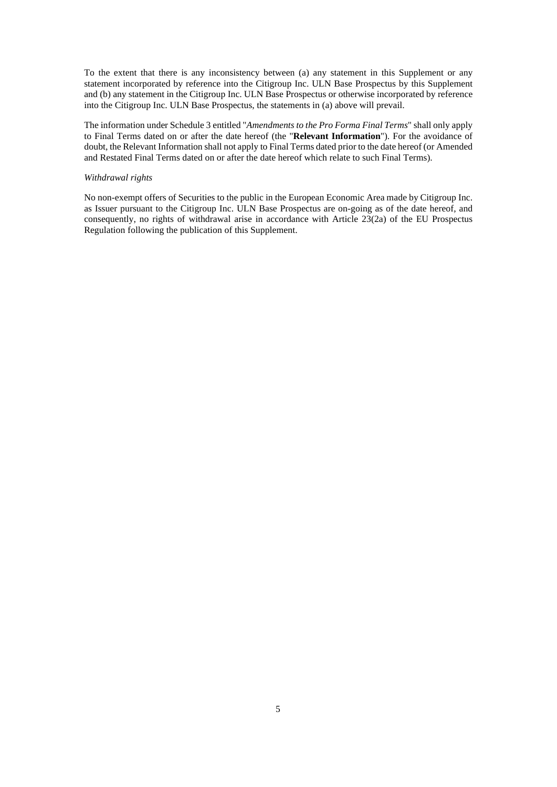To the extent that there is any inconsistency between (a) any statement in this Supplement or any statement incorporated by reference into the Citigroup Inc. ULN Base Prospectus by this Supplement and (b) any statement in the Citigroup Inc. ULN Base Prospectus or otherwise incorporated by reference into the Citigroup Inc. ULN Base Prospectus, the statements in (a) above will prevail.

The information under Schedule 3 entitled "*Amendments to the Pro Forma Final Terms*" shall only apply to Final Terms dated on or after the date hereof (the "**Relevant Information**"). For the avoidance of doubt, the Relevant Information shall not apply to Final Terms dated prior to the date hereof (or Amended and Restated Final Terms dated on or after the date hereof which relate to such Final Terms).

# *Withdrawal rights*

No non-exempt offers of Securities to the public in the European Economic Area made by Citigroup Inc. as Issuer pursuant to the Citigroup Inc. ULN Base Prospectus are on-going as of the date hereof, and consequently, no rights of withdrawal arise in accordance with Article 23(2a) of the EU Prospectus Regulation following the publication of this Supplement.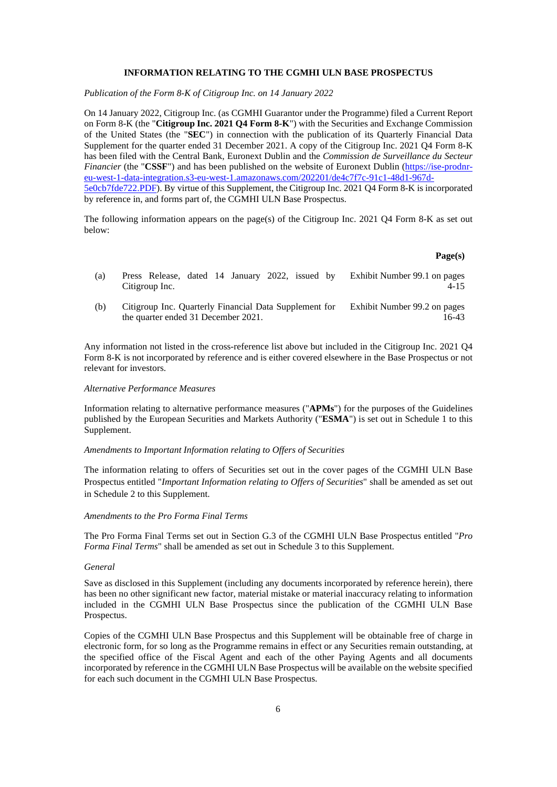## **INFORMATION RELATING TO THE CGMHI ULN BASE PROSPECTUS**

*Publication of the Form 8-K of Citigroup Inc. on 14 January 2022* 

On 14 January 2022, Citigroup Inc. (as CGMHI Guarantor under the Programme) filed a Current Report on Form 8-K (the "**Citigroup Inc. 2021 Q4 Form 8-K**") with the Securities and Exchange Commission of the United States (the "**SEC**") in connection with the publication of its Quarterly Financial Data Supplement for the quarter ended 31 December 2021. A copy of the Citigroup Inc. 2021 Q4 Form 8-K has been filed with the Central Bank, Euronext Dublin and the *Commission de Surveillance du Secteur Financier* (the "CSSF") and has been published on the website of Euronext Dublin (https://ise-prodnreu-west-1-data-integration.s3-eu-west-1.amazonaws.com/202201/de4c7f7c-91c1-48d1-967d-5e0cb7fde722.PDF). By virtue of this Supplement, the Citigroup Inc. 2021 Q4 Form 8-K is incorporated by reference in, and forms part of, the CGMHI ULN Base Prospectus.

The following information appears on the page(s) of the Citigroup Inc. 2021 Q4 Form 8-K as set out below:

## **Page(s)**

| (a) | Press Release, dated 14 January 2022, issued by<br>Citigroup Inc.                             | Exhibit Number 99.1 on pages<br>4-15  |
|-----|-----------------------------------------------------------------------------------------------|---------------------------------------|
| (b) | Citigroup Inc. Quarterly Financial Data Supplement for<br>the quarter ended 31 December 2021. | Exhibit Number 99.2 on pages<br>16-43 |

Any information not listed in the cross-reference list above but included in the Citigroup Inc. 2021 Q4 Form 8-K is not incorporated by reference and is either covered elsewhere in the Base Prospectus or not relevant for investors.

#### *Alternative Performance Measures*

Information relating to alternative performance measures ("**APMs**") for the purposes of the Guidelines published by the European Securities and Markets Authority ("**ESMA**") is set out in Schedule 1 to this Supplement.

#### *Amendments to Important Information relating to Offers of Securities*

The information relating to offers of Securities set out in the cover pages of the CGMHI ULN Base Prospectus entitled "*Important Information relating to Offers of Securities*" shall be amended as set out in Schedule 2 to this Supplement.

### *Amendments to the Pro Forma Final Terms*

The Pro Forma Final Terms set out in Section G.3 of the CGMHI ULN Base Prospectus entitled "*Pro Forma Final Terms*" shall be amended as set out in Schedule 3 to this Supplement.

# *General*

Save as disclosed in this Supplement (including any documents incorporated by reference herein), there has been no other significant new factor, material mistake or material inaccuracy relating to information included in the CGMHI ULN Base Prospectus since the publication of the CGMHI ULN Base Prospectus.

Copies of the CGMHI ULN Base Prospectus and this Supplement will be obtainable free of charge in electronic form, for so long as the Programme remains in effect or any Securities remain outstanding, at the specified office of the Fiscal Agent and each of the other Paying Agents and all documents incorporated by reference in the CGMHI ULN Base Prospectus will be available on the website specified for each such document in the CGMHI ULN Base Prospectus.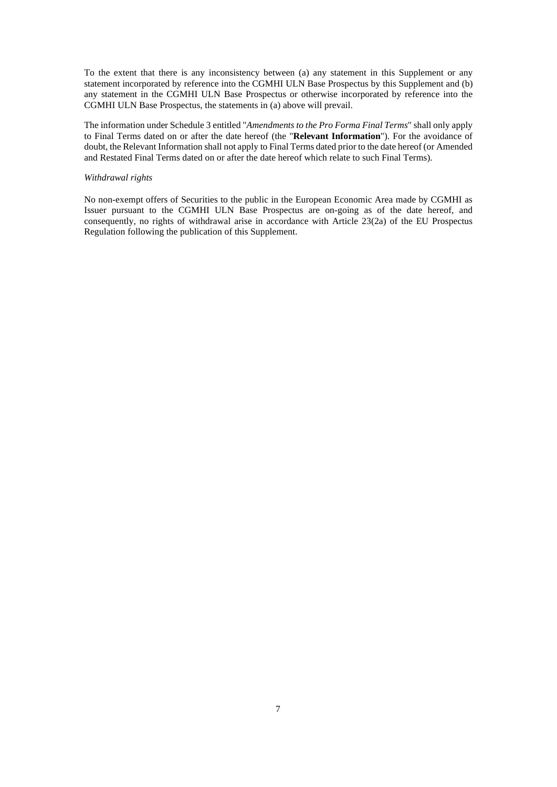To the extent that there is any inconsistency between (a) any statement in this Supplement or any statement incorporated by reference into the CGMHI ULN Base Prospectus by this Supplement and (b) any statement in the CGMHI ULN Base Prospectus or otherwise incorporated by reference into the CGMHI ULN Base Prospectus, the statements in (a) above will prevail.

The information under Schedule 3 entitled "*Amendments to the Pro Forma Final Terms*" shall only apply to Final Terms dated on or after the date hereof (the "**Relevant Information**"). For the avoidance of doubt, the Relevant Information shall not apply to Final Terms dated prior to the date hereof (or Amended and Restated Final Terms dated on or after the date hereof which relate to such Final Terms).

# *Withdrawal rights*

No non-exempt offers of Securities to the public in the European Economic Area made by CGMHI as Issuer pursuant to the CGMHI ULN Base Prospectus are on-going as of the date hereof, and consequently, no rights of withdrawal arise in accordance with Article 23(2a) of the EU Prospectus Regulation following the publication of this Supplement.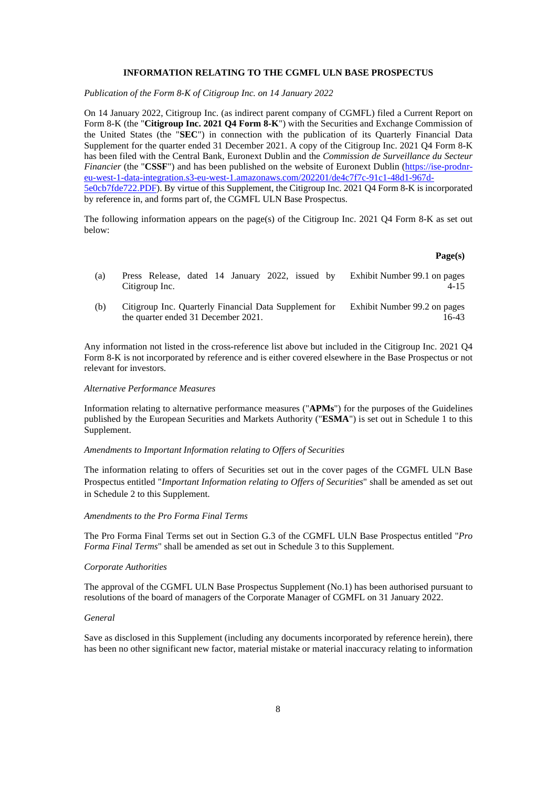## **INFORMATION RELATING TO THE CGMFL ULN BASE PROSPECTUS**

*Publication of the Form 8-K of Citigroup Inc. on 14 January 2022* 

On 14 January 2022, Citigroup Inc. (as indirect parent company of CGMFL) filed a Current Report on Form 8-K (the "**Citigroup Inc. 2021 Q4 Form 8-K**") with the Securities and Exchange Commission of the United States (the "**SEC**") in connection with the publication of its Quarterly Financial Data Supplement for the quarter ended 31 December 2021. A copy of the Citigroup Inc. 2021 Q4 Form 8-K has been filed with the Central Bank, Euronext Dublin and the *Commission de Surveillance du Secteur Financier* (the "CSSF") and has been published on the website of Euronext Dublin (https://ise-prodnreu-west-1-data-integration.s3-eu-west-1.amazonaws.com/202201/de4c7f7c-91c1-48d1-967d-5e0cb7fde722.PDF). By virtue of this Supplement, the Citigroup Inc. 2021 Q4 Form 8-K is incorporated by reference in, and forms part of, the CGMFL ULN Base Prospectus.

The following information appears on the page(s) of the Citigroup Inc. 2021 Q4 Form 8-K as set out below:

#### **Page(s)**

16-43

| (a) | Press Release, dated 14 January 2022, issued by Exhibit Number 99.1 on pages<br>Citigroup Inc. | 4-15                         |
|-----|------------------------------------------------------------------------------------------------|------------------------------|
| (b) | Citigroup Inc. Quarterly Financial Data Supplement for                                         | Exhibit Number 99.2 on pages |

Any information not listed in the cross-reference list above but included in the Citigroup Inc. 2021 Q4 Form 8-K is not incorporated by reference and is either covered elsewhere in the Base Prospectus or not relevant for investors.

#### *Alternative Performance Measures*

Information relating to alternative performance measures ("**APMs**") for the purposes of the Guidelines published by the European Securities and Markets Authority ("**ESMA**") is set out in Schedule 1 to this Supplement.

#### *Amendments to Important Information relating to Offers of Securities*

the quarter ended 31 December 2021.

The information relating to offers of Securities set out in the cover pages of the CGMFL ULN Base Prospectus entitled "*Important Information relating to Offers of Securities*" shall be amended as set out in Schedule 2 to this Supplement.

### *Amendments to the Pro Forma Final Terms*

The Pro Forma Final Terms set out in Section G.3 of the CGMFL ULN Base Prospectus entitled "*Pro Forma Final Terms*" shall be amended as set out in Schedule 3 to this Supplement.

# *Corporate Authorities*

The approval of the CGMFL ULN Base Prospectus Supplement (No.1) has been authorised pursuant to resolutions of the board of managers of the Corporate Manager of CGMFL on 31 January 2022.

#### *General*

Save as disclosed in this Supplement (including any documents incorporated by reference herein), there has been no other significant new factor, material mistake or material inaccuracy relating to information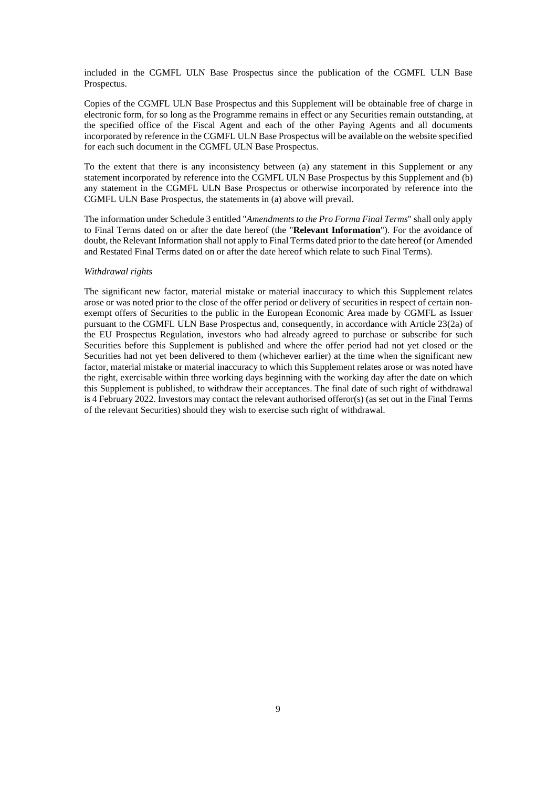included in the CGMFL ULN Base Prospectus since the publication of the CGMFL ULN Base Prospectus.

Copies of the CGMFL ULN Base Prospectus and this Supplement will be obtainable free of charge in electronic form, for so long as the Programme remains in effect or any Securities remain outstanding, at the specified office of the Fiscal Agent and each of the other Paying Agents and all documents incorporated by reference in the CGMFL ULN Base Prospectus will be available on the website specified for each such document in the CGMFL ULN Base Prospectus.

To the extent that there is any inconsistency between (a) any statement in this Supplement or any statement incorporated by reference into the CGMFL ULN Base Prospectus by this Supplement and (b) any statement in the CGMFL ULN Base Prospectus or otherwise incorporated by reference into the CGMFL ULN Base Prospectus, the statements in (a) above will prevail.

The information under Schedule 3 entitled "*Amendments to the Pro Forma Final Terms*" shall only apply to Final Terms dated on or after the date hereof (the "**Relevant Information**"). For the avoidance of doubt, the Relevant Information shall not apply to Final Terms dated prior to the date hereof (or Amended and Restated Final Terms dated on or after the date hereof which relate to such Final Terms).

## *Withdrawal rights*

The significant new factor, material mistake or material inaccuracy to which this Supplement relates arose or was noted prior to the close of the offer period or delivery of securities in respect of certain nonexempt offers of Securities to the public in the European Economic Area made by CGMFL as Issuer pursuant to the CGMFL ULN Base Prospectus and, consequently, in accordance with Article 23(2a) of the EU Prospectus Regulation, investors who had already agreed to purchase or subscribe for such Securities before this Supplement is published and where the offer period had not yet closed or the Securities had not yet been delivered to them (whichever earlier) at the time when the significant new factor, material mistake or material inaccuracy to which this Supplement relates arose or was noted have the right, exercisable within three working days beginning with the working day after the date on which this Supplement is published, to withdraw their acceptances. The final date of such right of withdrawal is 4 February 2022. Investors may contact the relevant authorised offeror(s) (as set out in the Final Terms of the relevant Securities) should they wish to exercise such right of withdrawal.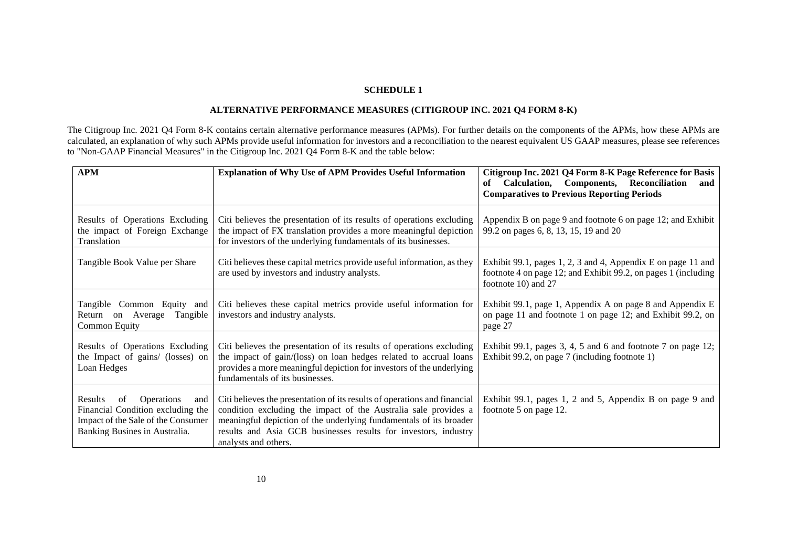# **SCHEDULE 1**

# **ALTERNATIVE PERFORMANCE MEASURES (CITIGROUP INC. 2021 Q4 FORM 8-K)**

The Citigroup Inc. 2021 Q4 Form 8-K contains certain alternative performance measures (APMs). For further details on the components of the APMs, how these APMs are calculated, an explanation of why such APMs provide useful information for investors and a reconciliation to the nearest equivalent US GAAP measures, please see references to "Non-GAAP Financial Measures" in the Citigroup Inc. 2021 Q4 Form 8-K and the table below:

| <b>APM</b>                                                                                                                                            | <b>Explanation of Why Use of APM Provides Useful Information</b>                                                                                                                                                                                                                                              | Citigroup Inc. 2021 Q4 Form 8-K Page Reference for Basis<br>Calculation, Components, Reconciliation<br>of<br>and<br><b>Comparatives to Previous Reporting Periods</b> |
|-------------------------------------------------------------------------------------------------------------------------------------------------------|---------------------------------------------------------------------------------------------------------------------------------------------------------------------------------------------------------------------------------------------------------------------------------------------------------------|-----------------------------------------------------------------------------------------------------------------------------------------------------------------------|
| Results of Operations Excluding<br>the impact of Foreign Exchange<br>Translation                                                                      | Citi believes the presentation of its results of operations excluding<br>the impact of FX translation provides a more meaningful depiction<br>for investors of the underlying fundamentals of its businesses.                                                                                                 | Appendix B on page 9 and footnote 6 on page 12; and Exhibit<br>99.2 on pages 6, 8, 13, 15, 19 and 20                                                                  |
| Tangible Book Value per Share                                                                                                                         | Citi believes these capital metrics provide useful information, as they<br>are used by investors and industry analysts.                                                                                                                                                                                       | Exhibit 99.1, pages 1, 2, 3 and 4, Appendix E on page 11 and<br>footnote 4 on page 12; and Exhibit 99.2, on pages 1 (including<br>footnote 10) and 27                 |
| Tangible Common Equity and<br>Return on Average<br>Tangible<br><b>Common Equity</b>                                                                   | Citi believes these capital metrics provide useful information for<br>investors and industry analysts.                                                                                                                                                                                                        | Exhibit 99.1, page 1, Appendix A on page 8 and Appendix E<br>on page 11 and footnote 1 on page 12; and Exhibit 99.2, on<br>page 27                                    |
| Results of Operations Excluding<br>the Impact of gains/ (losses) on<br>Loan Hedges                                                                    | Citi believes the presentation of its results of operations excluding<br>the impact of gain/(loss) on loan hedges related to accrual loans<br>provides a more meaningful depiction for investors of the underlying<br>fundamentals of its businesses.                                                         | Exhibit 99.1, pages 3, 4, 5 and 6 and footnote 7 on page 12;<br>Exhibit 99.2, on page 7 (including footnote 1)                                                        |
| Results<br><b>Operations</b><br>of<br>and<br>Financial Condition excluding the<br>Impact of the Sale of the Consumer<br>Banking Busines in Australia. | Citi believes the presentation of its results of operations and financial<br>condition excluding the impact of the Australia sale provides a<br>meaningful depiction of the underlying fundamentals of its broader<br>results and Asia GCB businesses results for investors, industry<br>analysts and others. | Exhibit 99.1, pages 1, 2 and 5, Appendix B on page 9 and<br>footnote 5 on page 12.                                                                                    |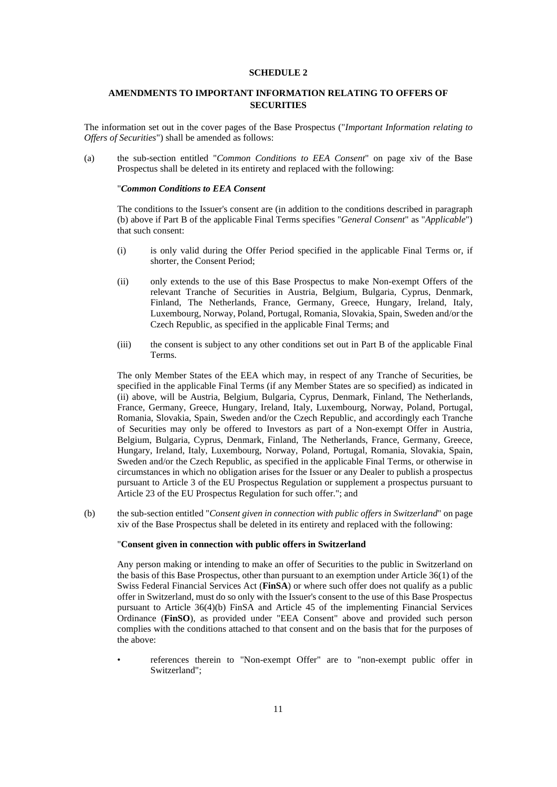### **SCHEDULE 2**

# **AMENDMENTS TO IMPORTANT INFORMATION RELATING TO OFFERS OF SECURITIES**

The information set out in the cover pages of the Base Prospectus ("*Important Information relating to Offers of Securities*") shall be amended as follows:

(a) the sub-section entitled "*Common Conditions to EEA Consent*" on page xiv of the Base Prospectus shall be deleted in its entirety and replaced with the following:

# "*Common Conditions to EEA Consent*

The conditions to the Issuer's consent are (in addition to the conditions described in paragraph (b) above if Part B of the applicable Final Terms specifies "*General Consent*" as "*Applicable*") that such consent:

- (i) is only valid during the Offer Period specified in the applicable Final Terms or, if shorter, the Consent Period;
- (ii) only extends to the use of this Base Prospectus to make Non-exempt Offers of the relevant Tranche of Securities in Austria, Belgium, Bulgaria, Cyprus, Denmark, Finland, The Netherlands, France, Germany, Greece, Hungary, Ireland, Italy, Luxembourg, Norway, Poland, Portugal, Romania, Slovakia, Spain, Sweden and/or the Czech Republic, as specified in the applicable Final Terms; and
- (iii) the consent is subject to any other conditions set out in Part B of the applicable Final Terms.

The only Member States of the EEA which may, in respect of any Tranche of Securities, be specified in the applicable Final Terms (if any Member States are so specified) as indicated in (ii) above, will be Austria, Belgium, Bulgaria, Cyprus, Denmark, Finland, The Netherlands, France, Germany, Greece, Hungary, Ireland, Italy, Luxembourg, Norway, Poland, Portugal, Romania, Slovakia, Spain, Sweden and/or the Czech Republic, and accordingly each Tranche of Securities may only be offered to Investors as part of a Non-exempt Offer in Austria, Belgium, Bulgaria, Cyprus, Denmark, Finland, The Netherlands, France, Germany, Greece, Hungary, Ireland, Italy, Luxembourg, Norway, Poland, Portugal, Romania, Slovakia, Spain, Sweden and/or the Czech Republic, as specified in the applicable Final Terms, or otherwise in circumstances in which no obligation arises for the Issuer or any Dealer to publish a prospectus pursuant to Article 3 of the EU Prospectus Regulation or supplement a prospectus pursuant to Article 23 of the EU Prospectus Regulation for such offer."; and

(b) the sub-section entitled "*Consent given in connection with public offers in Switzerland*" on page xiv of the Base Prospectus shall be deleted in its entirety and replaced with the following:

#### "**Consent given in connection with public offers in Switzerland**

Any person making or intending to make an offer of Securities to the public in Switzerland on the basis of this Base Prospectus, other than pursuant to an exemption under Article 36(1) of the Swiss Federal Financial Services Act (**FinSA**) or where such offer does not qualify as a public offer in Switzerland, must do so only with the Issuer's consent to the use of this Base Prospectus pursuant to Article 36(4)(b) FinSA and Article 45 of the implementing Financial Services Ordinance (**FinSO**), as provided under "EEA Consent" above and provided such person complies with the conditions attached to that consent and on the basis that for the purposes of the above:

• references therein to "Non-exempt Offer" are to "non-exempt public offer in Switzerland";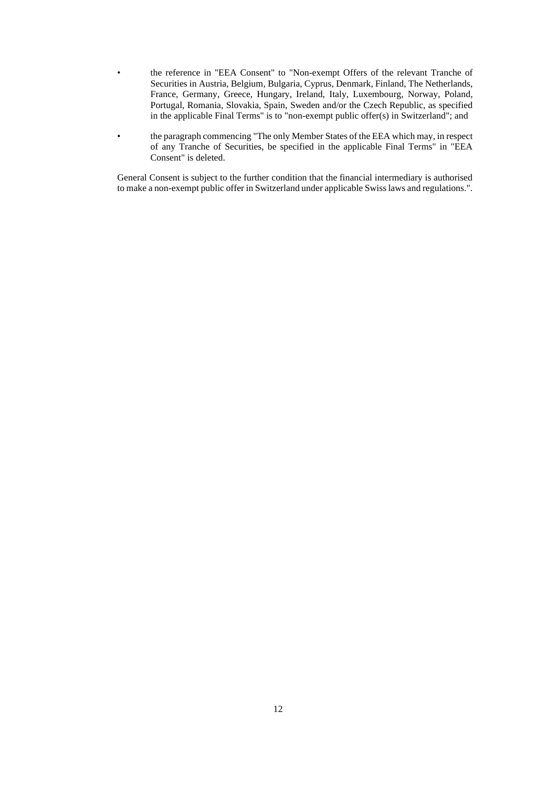- the reference in "EEA Consent" to "Non-exempt Offers of the relevant Tranche of Securities in Austria, Belgium, Bulgaria, Cyprus, Denmark, Finland, The Netherlands, France, Germany, Greece, Hungary, Ireland, Italy, Luxembourg, Norway, Poland, Portugal, Romania, Slovakia, Spain, Sweden and/or the Czech Republic, as specified in the applicable Final Terms" is to "non-exempt public offer(s) in Switzerland"; and
- the paragraph commencing "The only Member States of the EEA which may, in respect of any Tranche of Securities, be specified in the applicable Final Terms" in "EEA Consent" is deleted.

General Consent is subject to the further condition that the financial intermediary is authorised to make a non-exempt public offer in Switzerland under applicable Swiss laws and regulations.".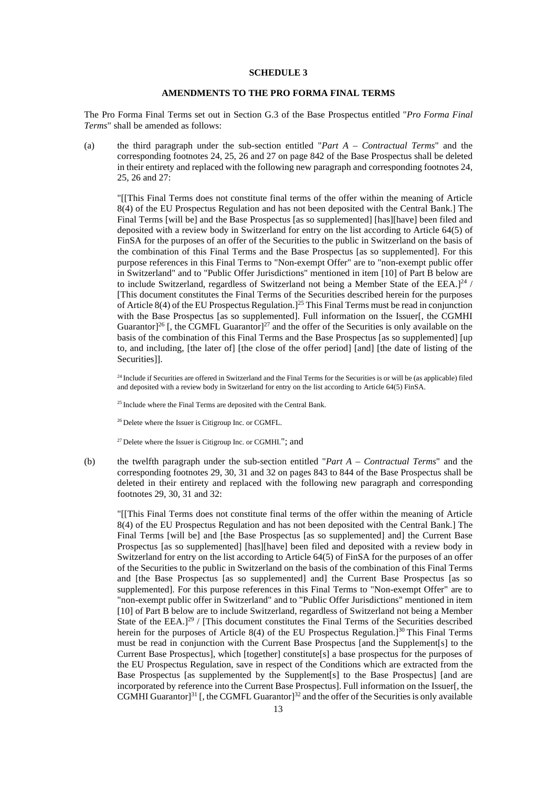## **SCHEDULE 3**

# **AMENDMENTS TO THE PRO FORMA FINAL TERMS**

The Pro Forma Final Terms set out in Section G.3 of the Base Prospectus entitled "*Pro Forma Final Terms*" shall be amended as follows:

(a) the third paragraph under the sub-section entitled "*Part A – Contractual Terms*" and the corresponding footnotes 24, 25, 26 and 27 on page 842 of the Base Prospectus shall be deleted in their entirety and replaced with the following new paragraph and corresponding footnotes 24, 25, 26 and 27:

"[[This Final Terms does not constitute final terms of the offer within the meaning of Article 8(4) of the EU Prospectus Regulation and has not been deposited with the Central Bank.] The Final Terms [will be] and the Base Prospectus [as so supplemented] [has][have] been filed and deposited with a review body in Switzerland for entry on the list according to Article 64(5) of FinSA for the purposes of an offer of the Securities to the public in Switzerland on the basis of the combination of this Final Terms and the Base Prospectus [as so supplemented]. For this purpose references in this Final Terms to "Non-exempt Offer" are to "non-exempt public offer in Switzerland" and to "Public Offer Jurisdictions" mentioned in item [10] of Part B below are to include Switzerland, regardless of Switzerland not being a Member State of the EEA. $]^{24}$  / [This document constitutes the Final Terms of the Securities described herein for the purposes of Article 8(4) of the EU Prospectus Regulation.]<sup>25</sup> This Final Terms must be read in conjunction with the Base Prospectus [as so supplemented]. Full information on the Issuer[, the CGMHI Guarantor<sup>26</sup> [, the CGMFL Guarantor<sup>27</sup> and the offer of the Securities is only available on the basis of the combination of this Final Terms and the Base Prospectus [as so supplemented] [up to, and including, [the later of] [the close of the offer period] [and] [the date of listing of the Securities]].

<sup>24</sup> Include if Securities are offered in Switzerland and the Final Terms for the Securities is or will be (as applicable) filed and deposited with a review body in Switzerland for entry on the list according to Article 64(5) FinSA.

<sup>25</sup> Include where the Final Terms are deposited with the Central Bank.

<sup>26</sup> Delete where the Issuer is Citigroup Inc. or CGMFL.

<sup>27</sup> Delete where the Issuer is Citigroup Inc. or CGMHI."; and

(b) the twelfth paragraph under the sub-section entitled "*Part A – Contractual Terms*" and the corresponding footnotes 29, 30, 31 and 32 on pages 843 to 844 of the Base Prospectus shall be deleted in their entirety and replaced with the following new paragraph and corresponding footnotes 29, 30, 31 and 32:

"[[This Final Terms does not constitute final terms of the offer within the meaning of Article 8(4) of the EU Prospectus Regulation and has not been deposited with the Central Bank.] The Final Terms [will be] and [the Base Prospectus [as so supplemented] and] the Current Base Prospectus [as so supplemented] [has][have] been filed and deposited with a review body in Switzerland for entry on the list according to Article 64(5) of FinSA for the purposes of an offer of the Securities to the public in Switzerland on the basis of the combination of this Final Terms and [the Base Prospectus [as so supplemented] and] the Current Base Prospectus [as so supplemented]. For this purpose references in this Final Terms to "Non-exempt Offer" are to "non-exempt public offer in Switzerland" and to "Public Offer Jurisdictions" mentioned in item [10] of Part B below are to include Switzerland, regardless of Switzerland not being a Member State of the EEA. $l^{29}$  / [This document constitutes the Final Terms of the Securities described herein for the purposes of Article 8(4) of the EU Prospectus Regulation.<sup>[30</sup> This Final Terms must be read in conjunction with the Current Base Prospectus [and the Supplement[s] to the Current Base Prospectus], which [together] constitute[s] a base prospectus for the purposes of the EU Prospectus Regulation, save in respect of the Conditions which are extracted from the Base Prospectus [as supplemented by the Supplement[s] to the Base Prospectus] [and are incorporated by reference into the Current Base Prospectus]. Full information on the Issuer[, the CGMHI Guarantor]<sup>31</sup> [, the CGMFL Guarantor]<sup>32</sup> and the offer of the Securities is only available